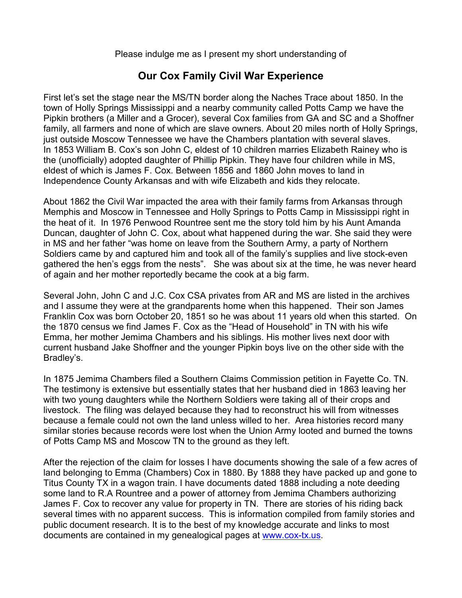Please indulge me as I present my short understanding of

## **Our Cox Family Civil War Experience**

First let's set the stage near the MS/TN border along the Naches Trace about 1850. In the town of Holly Springs Mississippi and a nearby community called Potts Camp we have the Pipkin brothers (a Miller and a Grocer), several Cox families from GA and SC and a Shoffner family, all farmers and none of which are slave owners. About 20 miles north of Holly Springs, just outside Moscow Tennessee we have the Chambers plantation with several slaves. In 1853 William B. Cox's son John C, eldest of 10 children marries Elizabeth Rainey who is the (unofficially) adopted daughter of Phillip Pipkin. They have four children while in MS, eldest of which is James F. Cox. Between 1856 and 1860 John moves to land in Independence County Arkansas and with wife Elizabeth and kids they relocate.

About 1862 the Civil War impacted the area with their family farms from Arkansas through Memphis and Moscow in Tennessee and Holly Springs to Potts Camp in Mississippi right in the heat of it. In 1976 Penwood Rountree sent me the story told him by his Aunt Amanda Duncan, daughter of John C. Cox, about what happened during the war. She said they were in MS and her father "was home on leave from the Southern Army, a party of Northern Soldiers came by and captured him and took all of the family's supplies and live stock-even gathered the hen's eggs from the nests". She was about six at the time, he was never heard of again and her mother reportedly became the cook at a big farm.

Several John, John C and J.C. Cox CSA privates from AR and MS are listed in the archives and I assume they were at the grandparents home when this happened. Their son James Franklin Cox was born October 20, 1851 so he was about 11 years old when this started. On the 1870 census we find James F. Cox as the "Head of Household" in TN with his wife Emma, her mother Jemima Chambers and his siblings. His mother lives next door with current husband Jake Shoffner and the younger Pipkin boys live on the other side with the Bradley's.

In 1875 Jemima Chambers filed a Southern Claims Commission petition in Fayette Co. TN. The testimony is extensive but essentially states that her husband died in 1863 leaving her with two young daughters while the Northern Soldiers were taking all of their crops and livestock. The filing was delayed because they had to reconstruct his will from witnesses because a female could not own the land unless willed to her. Area histories record many similar stories because records were lost when the Union Army looted and burned the towns of Potts Camp MS and Moscow TN to the ground as they left.

After the rejection of the claim for losses I have documents showing the sale of a few acres of land belonging to Emma (Chambers) Cox in 1880. By 1888 they have packed up and gone to Titus County TX in a wagon train. I have documents dated 1888 including a note deeding some land to R.A Rountree and a power of attorney from Jemima Chambers authorizing James F. Cox to recover any value for property in TN. There are stories of his riding back several times with no apparent success. This is information compiled from family stories and public document research. It is to the best of my knowledge accurate and links to most documents are contained in my genealogical pages at www.cox-tx.us.